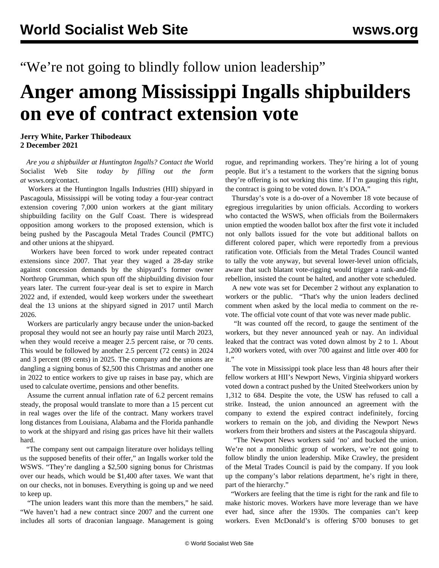"We're not going to blindly follow union leadership"

## **Anger among Mississippi Ingalls shipbuilders on eve of contract extension vote**

**Jerry White, Parker Thibodeaux 2 December 2021**

 *Are you a shipbuilder at Huntington Ingalls? Contact the* World Socialist Web Site *today by filling out the form at* [wsws.org/contact](/contact).

 Workers at the Huntington Ingalls Industries (HII) shipyard in Pascagoula, Mississippi will be voting today a four-year contract extension covering 7,000 union workers at the giant military shipbuilding facility on the Gulf Coast. There is widespread opposition among workers to the proposed extension, which is being pushed by the Pascagoula Metal Trades Council (PMTC) and other unions at the shipyard.

 Workers have been forced to work under repeated contract extensions since 2007. That year they waged a 28-day strike against concession demands by the shipyard's former owner Northrop Grumman, which spun off the shipbuilding division four years later. The current four-year deal is set to expire in March 2022 and, if extended, would keep workers under the sweetheart deal the 13 unions at the shipyard signed in 2017 until March 2026.

 Workers are particularly angry because under the union-backed proposal they would not see an hourly pay raise until March 2023, when they would receive a meager 2.5 percent raise, or 70 cents. This would be followed by another 2.5 percent (72 cents) in 2024 and 3 percent (89 cents) in 2025. The company and the unions are dangling a signing bonus of \$2,500 this Christmas and another one in 2022 to entice workers to give up raises in base pay, which are used to calculate overtime, pensions and other benefits.

 Assume the current annual inflation rate of 6.2 percent remains steady, the proposal would translate to more than a 15 percent cut in real wages over the life of the contract. Many workers travel long distances from Louisiana, Alabama and the Florida panhandle to work at the shipyard and rising gas prices have hit their wallets hard.

 "The company sent out campaign literature over holidays telling us the supposed benefits of their offer," an Ingalls worker told the WSWS. "They're dangling a \$2,500 signing bonus for Christmas over our heads, which would be \$1,400 after taxes. We want that on our checks, not in bonuses. Everything is going up and we need to keep up.

 "The union leaders want this more than the members," he said. "We haven't had a new contract since 2007 and the current one includes all sorts of draconian language. Management is going rogue, and reprimanding workers. They're hiring a lot of young people. But it's a testament to the workers that the signing bonus they're offering is not working this time. If I'm gauging this right, the contract is going to be voted down. It's DOA."

 Thursday's vote is a do-over of a November 18 vote because of egregious irregularities by union officials. According to workers who contacted the WSWS, when officials from the Boilermakers union emptied the wooden ballot box after the first vote it included not only ballots issued for the vote but additional ballots on different colored paper, which were reportedly from a previous ratification vote. Officials from the Metal Trades Council wanted to tally the vote anyway, but several lower-level union officials, aware that such blatant vote-rigging would trigger a rank-and-file rebellion, insisted the count be halted, and another vote scheduled.

 A new vote was set for December 2 without any explanation to workers or the public. "That's why the union leaders declined comment when asked by the local media to comment on the revote. The official vote count of that vote was never made public.

 "It was counted off the record, to gauge the sentiment of the workers, but they never announced yeah or nay. An individual leaked that the contract was voted down almost by 2 to 1. About 1,200 workers voted, with over 700 against and little over 400 for it."

 The vote in Mississippi took place less than 48 hours after their fellow workers at HII's Newport News, Virginia shipyard workers voted down a contract pushed by the United Steelworkers union by 1,312 to 684. Despite the vote, the USW has refused to call a strike. Instead, the union announced an agreement with the company to extend the expired contract indefinitely, forcing workers to remain on the job, and dividing the Newport News workers from their brothers and sisters at the Pascagoula shipyard.

 "The Newport News workers said 'no' and bucked the union. We're not a monolithic group of workers, we're not going to follow blindly the union leadership. Mike Crawley, the president of the Metal Trades Council is paid by the company. If you look up the company's labor relations department, he's right in there, part of the hierarchy."

 "Workers are feeling that the time is right for the rank and file to make historic moves. Workers have more leverage than we have ever had, since after the 1930s. The companies can't keep workers. Even McDonald's is offering \$700 bonuses to get